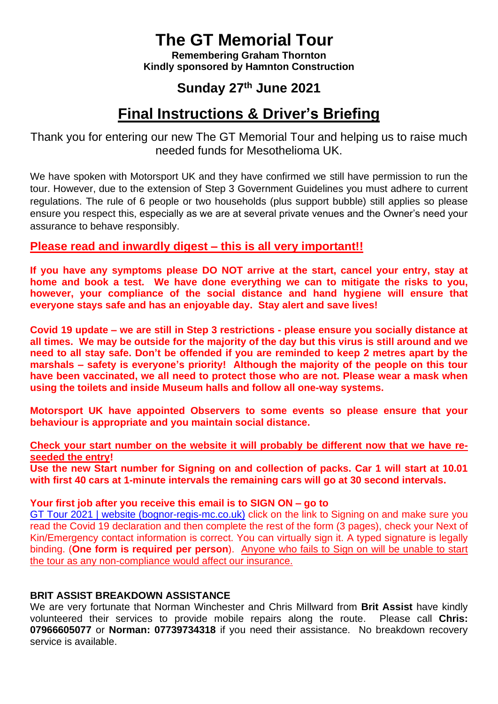# **The GT Memorial Tour**

**Remembering Graham Thornton Kindly sponsored by Hamnton Construction**

## **Sunday 27th June 2021**

## **Final Instructions & Driver's Briefing**

Thank you for entering our new The GT Memorial Tour and helping us to raise much needed funds for Mesothelioma UK.

We have spoken with Motorsport UK and they have confirmed we still have permission to run the tour. However, due to the extension of Step 3 Government Guidelines you must adhere to current regulations. The rule of 6 people or two households (plus support bubble) still applies so please ensure you respect this, especially as we are at several private venues and the Owner's need your assurance to behave responsibly.

### **Please read and inwardly digest – this is all very important!!**

**If you have any symptoms please DO NOT arrive at the start, cancel your entry, stay at home and book a test. We have done everything we can to mitigate the risks to you, however, your compliance of the social distance and hand hygiene will ensure that everyone stays safe and has an enjoyable day. Stay alert and save lives!**

**Covid 19 update – we are still in Step 3 restrictions - please ensure you socially distance at all times. We may be outside for the majority of the day but this virus is still around and we need to all stay safe. Don't be offended if you are reminded to keep 2 metres apart by the marshals – safety is everyone's priority! Although the majority of the people on this tour have been vaccinated, we all need to protect those who are not. Please wear a mask when using the toilets and inside Museum halls and follow all one-way systems.**

**Motorsport UK have appointed Observers to some events so please ensure that your behaviour is appropriate and you maintain social distance.** 

#### **Check your start number on the website it will probably be different now that we have reseeded the entry!**

**Use the new Start number for Signing on and collection of packs. Car 1 will start at 10.01 with first 40 cars at 1-minute intervals the remaining cars will go at 30 second intervals.**

#### **Your first job after you receive this email is to SIGN ON – go to**

GT Tour 2021 [| website \(bognor-regis-mc.co.uk\)](https://www.bognor-regis-mc.co.uk/gt-memorial-21) click on the link to Signing on and make sure you read the Covid 19 declaration and then complete the rest of the form (3 pages), check your Next of Kin/Emergency contact information is correct. You can virtually sign it. A typed signature is legally binding. (**One form is required per person**). Anyone who fails to Sign on will be unable to start the tour as any non-compliance would affect our insurance.

#### **BRIT ASSIST BREAKDOWN ASSISTANCE**

We are very fortunate that Norman Winchester and Chris Millward from **Brit Assist** have kindly volunteered their services to provide mobile repairs along the route. Please call **Chris: 07966605077** or **Norman: 07739734318** if you need their assistance. No breakdown recovery service is available.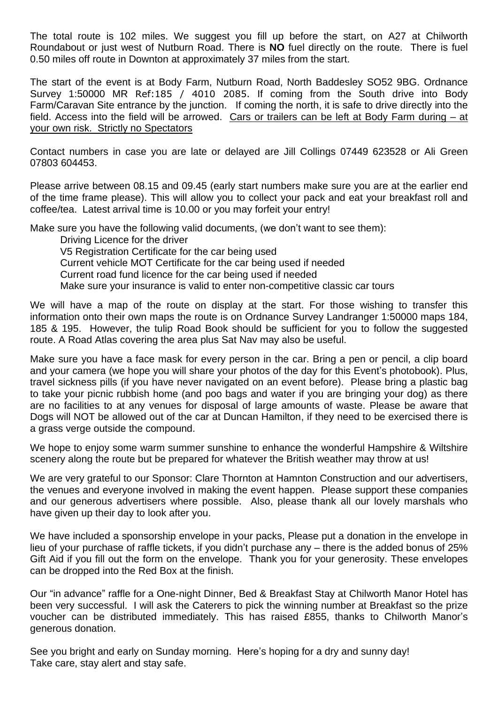The total route is 102 miles. We suggest you fill up before the start, on A27 at Chilworth Roundabout or just west of Nutburn Road. There is **NO** fuel directly on the route. There is fuel 0.50 miles off route in Downton at approximately 37 miles from the start.

The start of the event is at Body Farm, Nutburn Road, North Baddesley SO52 9BG. Ordnance Survey 1:50000 MR Ref:185 / 4010 2085. If coming from the South drive into Body Farm/Caravan Site entrance by the junction. If coming the north, it is safe to drive directly into the field. Access into the field will be arrowed. Cars or trailers can be left at Body Farm during – at your own risk. Strictly no Spectators

Contact numbers in case you are late or delayed are Jill Collings 07449 623528 or Ali Green 07803 604453.

Please arrive between 08.15 and 09.45 (early start numbers make sure you are at the earlier end of the time frame please). This will allow you to collect your pack and eat your breakfast roll and coffee/tea. Latest arrival time is 10.00 or you may forfeit your entry!

Make sure you have the following valid documents, (we don't want to see them):

Driving Licence for the driver V5 Registration Certificate for the car being used Current vehicle MOT Certificate for the car being used if needed Current road fund licence for the car being used if needed Make sure your insurance is valid to enter non-competitive classic car tours

We will have a map of the route on display at the start. For those wishing to transfer this information onto their own maps the route is on Ordnance Survey Landranger 1:50000 maps 184, 185 & 195. However, the tulip Road Book should be sufficient for you to follow the suggested route. A Road Atlas covering the area plus Sat Nav may also be useful.

Make sure you have a face mask for every person in the car. Bring a pen or pencil, a clip board and your camera (we hope you will share your photos of the day for this Event's photobook). Plus, travel sickness pills (if you have never navigated on an event before). Please bring a plastic bag to take your picnic rubbish home (and poo bags and water if you are bringing your dog) as there are no facilities to at any venues for disposal of large amounts of waste. Please be aware that Dogs will NOT be allowed out of the car at Duncan Hamilton, if they need to be exercised there is a grass verge outside the compound.

We hope to enjoy some warm summer sunshine to enhance the wonderful Hampshire & Wiltshire scenery along the route but be prepared for whatever the British weather may throw at us!

We are very grateful to our Sponsor: Clare Thornton at Hamnton Construction and our advertisers, the venues and everyone involved in making the event happen. Please support these companies and our generous advertisers where possible. Also, please thank all our lovely marshals who have given up their day to look after you.

We have included a sponsorship envelope in your packs, Please put a donation in the envelope in lieu of your purchase of raffle tickets, if you didn't purchase any – there is the added bonus of 25% Gift Aid if you fill out the form on the envelope. Thank you for your generosity. These envelopes can be dropped into the Red Box at the finish.

Our "in advance" raffle for a One-night Dinner, Bed & Breakfast Stay at Chilworth Manor Hotel has been very successful. I will ask the Caterers to pick the winning number at Breakfast so the prize voucher can be distributed immediately. This has raised £855, thanks to Chilworth Manor's generous donation.

See you bright and early on Sunday morning. Here's hoping for a dry and sunny day! Take care, stay alert and stay safe.